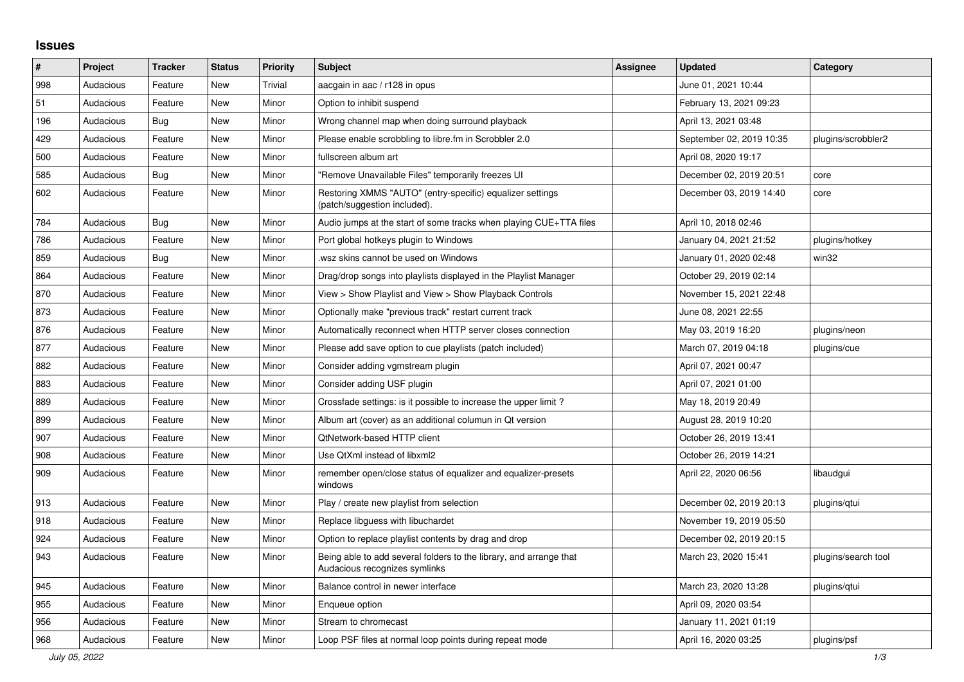## **Issues**

| $\sharp$ | Project   | <b>Tracker</b> | <b>Status</b> | <b>Priority</b> | <b>Subject</b>                                                                                      | <b>Assignee</b> | <b>Updated</b>           | Category            |
|----------|-----------|----------------|---------------|-----------------|-----------------------------------------------------------------------------------------------------|-----------------|--------------------------|---------------------|
| 998      | Audacious | Feature        | <b>New</b>    | Trivial         | aacgain in aac / r128 in opus                                                                       |                 | June 01, 2021 10:44      |                     |
| 51       | Audacious | Feature        | <b>New</b>    | Minor           | Option to inhibit suspend                                                                           |                 | February 13, 2021 09:23  |                     |
| 196      | Audacious | Bug            | <b>New</b>    | Minor           | Wrong channel map when doing surround playback                                                      |                 | April 13, 2021 03:48     |                     |
| 429      | Audacious | Feature        | New           | Minor           | Please enable scrobbling to libre.fm in Scrobbler 2.0                                               |                 | September 02, 2019 10:35 | plugins/scrobbler2  |
| 500      | Audacious | Feature        | <b>New</b>    | Minor           | fullscreen album art                                                                                |                 | April 08, 2020 19:17     |                     |
| 585      | Audacious | Bug            | <b>New</b>    | Minor           | "Remove Unavailable Files" temporarily freezes UI                                                   |                 | December 02, 2019 20:51  | core                |
| 602      | Audacious | Feature        | <b>New</b>    | Minor           | Restoring XMMS "AUTO" (entry-specific) equalizer settings<br>(patch/suggestion included).           |                 | December 03, 2019 14:40  | core                |
| 784      | Audacious | <b>Bug</b>     | New           | Minor           | Audio jumps at the start of some tracks when playing CUE+TTA files                                  |                 | April 10, 2018 02:46     |                     |
| 786      | Audacious | Feature        | <b>New</b>    | Minor           | Port global hotkeys plugin to Windows                                                               |                 | January 04, 2021 21:52   | plugins/hotkey      |
| 859      | Audacious | Bug            | <b>New</b>    | Minor           | wsz skins cannot be used on Windows                                                                 |                 | January 01, 2020 02:48   | win32               |
| 864      | Audacious | Feature        | <b>New</b>    | Minor           | Drag/drop songs into playlists displayed in the Playlist Manager                                    |                 | October 29, 2019 02:14   |                     |
| 870      | Audacious | Feature        | <b>New</b>    | Minor           | View > Show Playlist and View > Show Playback Controls                                              |                 | November 15, 2021 22:48  |                     |
| 873      | Audacious | Feature        | <b>New</b>    | Minor           | Optionally make "previous track" restart current track                                              |                 | June 08, 2021 22:55      |                     |
| 876      | Audacious | Feature        | New           | Minor           | Automatically reconnect when HTTP server closes connection                                          |                 | May 03, 2019 16:20       | plugins/neon        |
| 877      | Audacious | Feature        | <b>New</b>    | Minor           | Please add save option to cue playlists (patch included)                                            |                 | March 07, 2019 04:18     | plugins/cue         |
| 882      | Audacious | Feature        | <b>New</b>    | Minor           | Consider adding vgmstream plugin                                                                    |                 | April 07, 2021 00:47     |                     |
| 883      | Audacious | Feature        | <b>New</b>    | Minor           | Consider adding USF plugin                                                                          |                 | April 07, 2021 01:00     |                     |
| 889      | Audacious | Feature        | <b>New</b>    | Minor           | Crossfade settings: is it possible to increase the upper limit?                                     |                 | May 18, 2019 20:49       |                     |
| 899      | Audacious | Feature        | New           | Minor           | Album art (cover) as an additional columun in Qt version                                            |                 | August 28, 2019 10:20    |                     |
| 907      | Audacious | Feature        | New           | Minor           | QtNetwork-based HTTP client                                                                         |                 | October 26, 2019 13:41   |                     |
| 908      | Audacious | Feature        | <b>New</b>    | Minor           | Use QtXml instead of libxml2                                                                        |                 | October 26, 2019 14:21   |                     |
| 909      | Audacious | Feature        | <b>New</b>    | Minor           | remember open/close status of equalizer and equalizer-presets<br>windows                            |                 | April 22, 2020 06:56     | libaudgui           |
| 913      | Audacious | Feature        | <b>New</b>    | Minor           | Play / create new playlist from selection                                                           |                 | December 02, 2019 20:13  | plugins/qtui        |
| 918      | Audacious | Feature        | <b>New</b>    | Minor           | Replace libguess with libuchardet                                                                   |                 | November 19, 2019 05:50  |                     |
| 924      | Audacious | Feature        | <b>New</b>    | Minor           | Option to replace playlist contents by drag and drop                                                |                 | December 02, 2019 20:15  |                     |
| 943      | Audacious | Feature        | <b>New</b>    | Minor           | Being able to add several folders to the library, and arrange that<br>Audacious recognizes symlinks |                 | March 23, 2020 15:41     | plugins/search tool |
| 945      | Audacious | Feature        | <b>New</b>    | Minor           | Balance control in newer interface                                                                  |                 | March 23, 2020 13:28     | plugins/gtui        |
| 955      | Audacious | Feature        | <b>New</b>    | Minor           | Enqueue option                                                                                      |                 | April 09, 2020 03:54     |                     |
| 956      | Audacious | Feature        | <b>New</b>    | Minor           | Stream to chromecast                                                                                |                 | January 11, 2021 01:19   |                     |
| 968      | Audacious | Feature        | <b>New</b>    | Minor           | Loop PSF files at normal loop points during repeat mode                                             |                 | April 16, 2020 03:25     | plugins/psf         |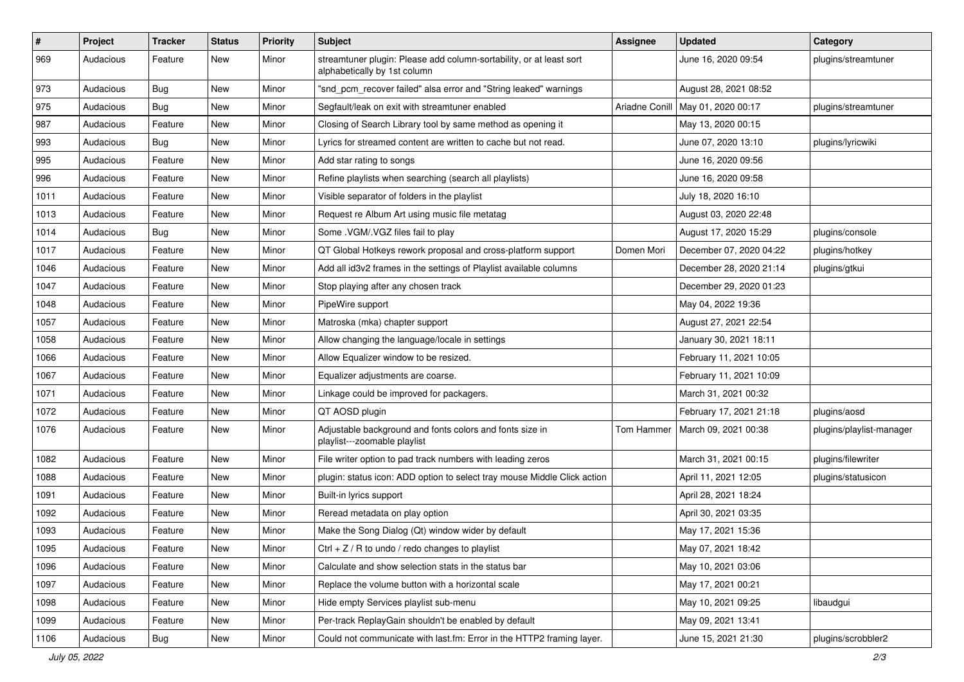| $\#$ | Project   | <b>Tracker</b> | <b>Status</b> | <b>Priority</b> | <b>Subject</b>                                                                                      | <b>Assignee</b> | <b>Updated</b>                      | Category                 |
|------|-----------|----------------|---------------|-----------------|-----------------------------------------------------------------------------------------------------|-----------------|-------------------------------------|--------------------------|
| 969  | Audacious | Feature        | New           | Minor           | streamtuner plugin: Please add column-sortability, or at least sort<br>alphabetically by 1st column |                 | June 16, 2020 09:54                 | plugins/streamtuner      |
| 973  | Audacious | Bug            | New           | Minor           | "snd_pcm_recover failed" alsa error and "String leaked" warnings                                    |                 | August 28, 2021 08:52               |                          |
| 975  | Audacious | <b>Bug</b>     | New           | Minor           | Segfault/leak on exit with streamtuner enabled                                                      |                 | Ariadne Conill   May 01, 2020 00:17 | plugins/streamtuner      |
| 987  | Audacious | Feature        | New           | Minor           | Closing of Search Library tool by same method as opening it                                         |                 | May 13, 2020 00:15                  |                          |
| 993  | Audacious | Bug            | New           | Minor           | Lyrics for streamed content are written to cache but not read.                                      |                 | June 07, 2020 13:10                 | plugins/lyricwiki        |
| 995  | Audacious | Feature        | New           | Minor           | Add star rating to songs                                                                            |                 | June 16, 2020 09:56                 |                          |
| 996  | Audacious | Feature        | New           | Minor           | Refine playlists when searching (search all playlists)                                              |                 | June 16, 2020 09:58                 |                          |
| 1011 | Audacious | Feature        | New           | Minor           | Visible separator of folders in the playlist                                                        |                 | July 18, 2020 16:10                 |                          |
| 1013 | Audacious | Feature        | New           | Minor           | Request re Album Art using music file metatag                                                       |                 | August 03, 2020 22:48               |                          |
| 1014 | Audacious | Bug            | New           | Minor           | Some .VGM/.VGZ files fail to play                                                                   |                 | August 17, 2020 15:29               | plugins/console          |
| 1017 | Audacious | Feature        | New           | Minor           | QT Global Hotkeys rework proposal and cross-platform support                                        | Domen Mori      | December 07, 2020 04:22             | plugins/hotkey           |
| 1046 | Audacious | Feature        | New           | Minor           | Add all id3v2 frames in the settings of Playlist available columns                                  |                 | December 28, 2020 21:14             | plugins/gtkui            |
| 1047 | Audacious | Feature        | New           | Minor           | Stop playing after any chosen track                                                                 |                 | December 29, 2020 01:23             |                          |
| 1048 | Audacious | Feature        | New           | Minor           | PipeWire support                                                                                    |                 | May 04, 2022 19:36                  |                          |
| 1057 | Audacious | Feature        | New           | Minor           | Matroska (mka) chapter support                                                                      |                 | August 27, 2021 22:54               |                          |
| 1058 | Audacious | Feature        | New           | Minor           | Allow changing the language/locale in settings                                                      |                 | January 30, 2021 18:11              |                          |
| 1066 | Audacious | Feature        | New           | Minor           | Allow Equalizer window to be resized.                                                               |                 | February 11, 2021 10:05             |                          |
| 1067 | Audacious | Feature        | New           | Minor           | Equalizer adjustments are coarse.                                                                   |                 | February 11, 2021 10:09             |                          |
| 1071 | Audacious | Feature        | New           | Minor           | Linkage could be improved for packagers.                                                            |                 | March 31, 2021 00:32                |                          |
| 1072 | Audacious | Feature        | New           | Minor           | QT AOSD plugin                                                                                      |                 | February 17, 2021 21:18             | plugins/aosd             |
| 1076 | Audacious | Feature        | New           | Minor           | Adjustable background and fonts colors and fonts size in<br>playlist---zoomable playlist            | Tom Hammer      | March 09, 2021 00:38                | plugins/playlist-manager |
| 1082 | Audacious | Feature        | New           | Minor           | File writer option to pad track numbers with leading zeros                                          |                 | March 31, 2021 00:15                | plugins/filewriter       |
| 1088 | Audacious | Feature        | New           | Minor           | plugin: status icon: ADD option to select tray mouse Middle Click action                            |                 | April 11, 2021 12:05                | plugins/statusicon       |
| 1091 | Audacious | Feature        | New           | Minor           | Built-in lyrics support                                                                             |                 | April 28, 2021 18:24                |                          |
| 1092 | Audacious | Feature        | New           | Minor           | Reread metadata on play option                                                                      |                 | April 30, 2021 03:35                |                          |
| 1093 | Audacious | Feature        | New           | Minor           | Make the Song Dialog (Qt) window wider by default                                                   |                 | May 17, 2021 15:36                  |                          |
| 1095 | Audacious | Feature        | New           | Minor           | Ctrl + $Z$ / R to undo / redo changes to playlist                                                   |                 | May 07, 2021 18:42                  |                          |
| 1096 | Audacious | Feature        | New           | Minor           | Calculate and show selection stats in the status bar                                                |                 | May 10, 2021 03:06                  |                          |
| 1097 | Audacious | Feature        | New           | Minor           | Replace the volume button with a horizontal scale                                                   |                 | May 17, 2021 00:21                  |                          |
| 1098 | Audacious | Feature        | New           | Minor           | Hide empty Services playlist sub-menu                                                               |                 | May 10, 2021 09:25                  | libaudgui                |
| 1099 | Audacious | Feature        | New           | Minor           | Per-track ReplayGain shouldn't be enabled by default                                                |                 | May 09, 2021 13:41                  |                          |
| 1106 | Audacious | <b>Bug</b>     | New           | Minor           | Could not communicate with last.fm: Error in the HTTP2 framing layer.                               |                 | June 15, 2021 21:30                 | plugins/scrobbler2       |